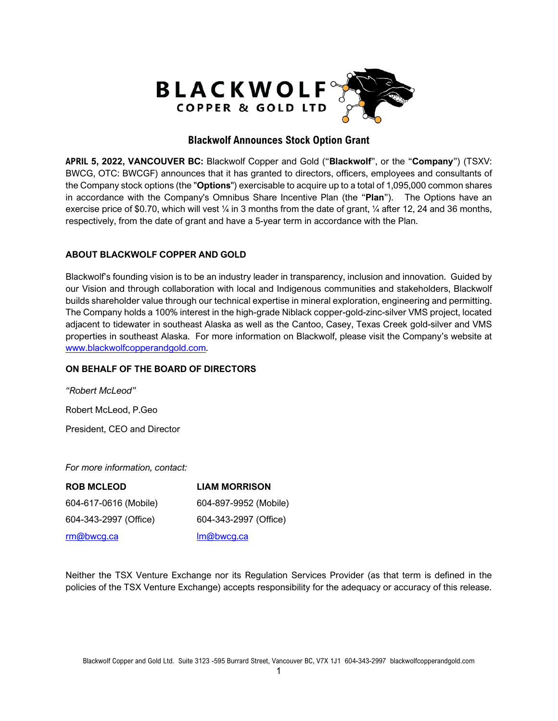

## **Blackwolf Announces Stock Option Grant**

**APRIL 5, 2022, VANCOUVER BC:** Blackwolf Copper and Gold ("**Blackwolf**", or the "**Company**") (TSXV: BWCG, OTC: BWCGF) announces that it has granted to directors, officers, employees and consultants of the Company stock options (the "**Options**") exercisable to acquire up to a total of 1,095,000 common shares in accordance with the Company's Omnibus Share Incentive Plan (the "**Plan**"). The Options have an exercise price of \$0.70, which will vest  $\frac{1}{4}$  in 3 months from the date of grant,  $\frac{1}{4}$  after 12, 24 and 36 months, respectively, from the date of grant and have a 5-year term in accordance with the Plan.

## **ABOUT BLACKWOLF COPPER AND GOLD**

Blackwolf's founding vision is to be an industry leader in transparency, inclusion and innovation. Guided by our Vision and through collaboration with local and Indigenous communities and stakeholders, Blackwolf builds shareholder value through our technical expertise in mineral exploration, engineering and permitting. The Company holds a 100% interest in the high-grade Niblack copper-gold-zinc-silver VMS project, located adjacent to tidewater in southeast Alaska as well as the Cantoo, Casey, Texas Creek gold-silver and VMS properties in southeast Alaska. For more information on Blackwolf, please visit the Company's website at [www.blackwolfcopperandgold.com.](http://www.blackwolfcopperandgold.com/)

## **ON BEHALF OF THE BOARD OF DIRECTORS**

*"Robert McLeod"* Robert McLeod, P.Geo President, CEO and Director

*For more information, contact:*

| <b>ROB MCLEOD</b>     | <b>LIAM MORRISON</b>  |
|-----------------------|-----------------------|
| 604-617-0616 (Mobile) | 604-897-9952 (Mobile) |
| 604-343-2997 (Office) | 604-343-2997 (Office) |
| rm@bwcg.ca            | Im@bwcg.ca            |

Neither the TSX Venture Exchange nor its Regulation Services Provider (as that term is defined in the policies of the TSX Venture Exchange) accepts responsibility for the adequacy or accuracy of this release.